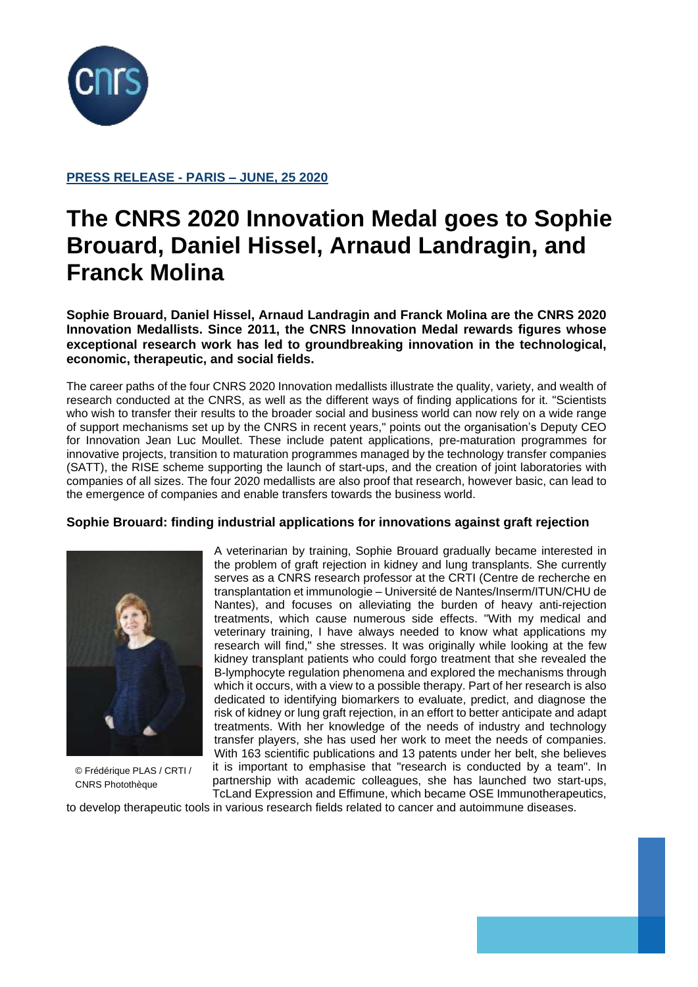

# **PRESS RELEASE - PARIS – JUNE, 25 2020**

# **The CNRS 2020 Innovation Medal goes to Sophie Brouard, Daniel Hissel, Arnaud Landragin, and Franck Molina**

**Sophie Brouard, Daniel Hissel, Arnaud Landragin and Franck Molina are the CNRS 2020 Innovation Medallists. Since 2011, the CNRS Innovation Medal rewards figures whose exceptional research work has led to groundbreaking innovation in the technological, economic, therapeutic, and social fields.**

The career paths of the four CNRS 2020 Innovation medallists illustrate the quality, variety, and wealth of research conducted at the CNRS, as well as the different ways of finding applications for it. "Scientists who wish to transfer their results to the broader social and business world can now rely on a wide range of support mechanisms set up by the CNRS in recent years," points out the organisation's Deputy CEO for Innovation Jean Luc Moullet. These include patent applications, pre-maturation programmes for innovative projects, transition to maturation programmes managed by the technology transfer companies (SATT), the RISE scheme supporting the launch of start-ups, and the creation of joint laboratories with companies of all sizes. The four 2020 medallists are also proof that research, however basic, can lead to the emergence of companies and enable transfers towards the business world.

## **Sophie Brouard: finding industrial applications for innovations against graft rejection**



© Frédérique PLAS / CRTI / CNRS Photothèque

A veterinarian by training, Sophie Brouard gradually became interested in the problem of graft rejection in kidney and lung transplants. She currently serves as a CNRS research professor at the CRTI (Centre de recherche en transplantation et immunologie – Université de Nantes/Inserm/ITUN/CHU de Nantes), and focuses on alleviating the burden of heavy anti-rejection treatments, which cause numerous side effects. "With my medical and veterinary training, I have always needed to know what applications my research will find," she stresses. It was originally while looking at the few kidney transplant patients who could forgo treatment that she revealed the B-lymphocyte regulation phenomena and explored the mechanisms through which it occurs, with a view to a possible therapy. Part of her research is also dedicated to identifying biomarkers to evaluate, predict, and diagnose the risk of kidney or lung graft rejection, in an effort to better anticipate and adapt treatments. With her knowledge of the needs of industry and technology transfer players, she has used her work to meet the needs of companies. With 163 scientific publications and 13 patents under her belt, she believes it is important to emphasise that "research is conducted by a team". In partnership with academic colleagues, she has launched two start-ups, TcLand Expression and Effimune, which became OSE Immunotherapeutics,

to develop therapeutic tools in various research fields related to cancer and autoimmune diseases.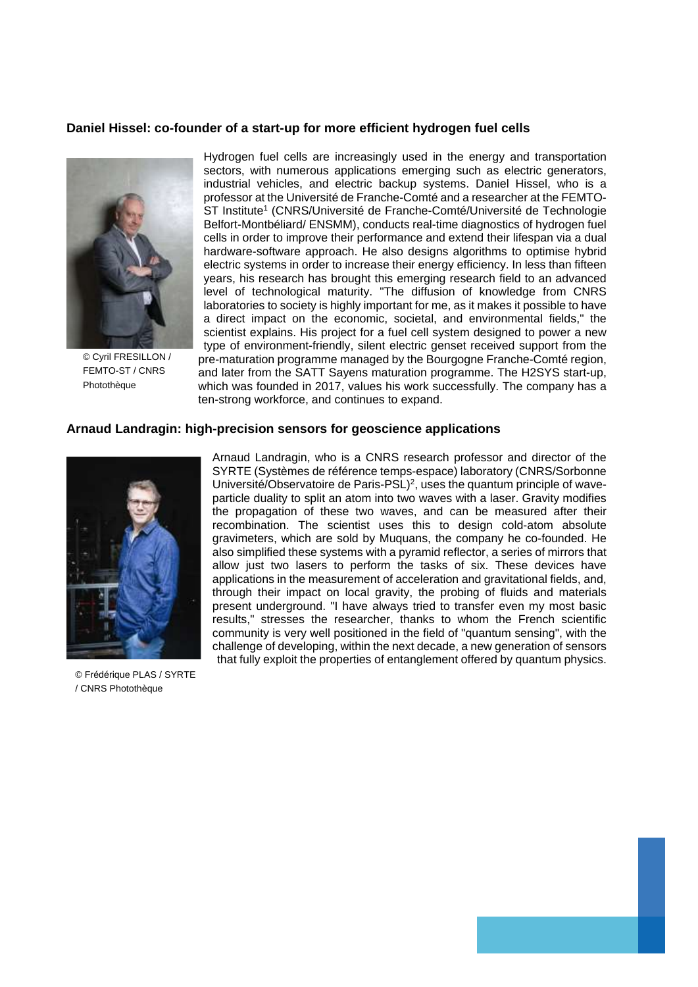#### **Daniel Hissel: co-founder of a start-up for more efficient hydrogen fuel cells**



© Cyril FRESILLON / FEMTO-ST / CNRS Photothèque

Hydrogen fuel cells are increasingly used in the energy and transportation sectors, with numerous applications emerging such as electric generators, industrial vehicles, and electric backup systems. Daniel Hissel, who is a professor at the Université de Franche-Comté and a researcher at the FEMTO-ST Institute<sup>1</sup> (CNRS/Université de Franche-Comté/Université de Technologie Belfort-Montbéliard/ ENSMM), conducts real-time diagnostics of hydrogen fuel cells in order to improve their performance and extend their lifespan via a dual hardware-software approach. He also designs algorithms to optimise hybrid electric systems in order to increase their energy efficiency. In less than fifteen years, his research has brought this emerging research field to an advanced level of technological maturity. "The diffusion of knowledge from CNRS laboratories to society is highly important for me, as it makes it possible to have a direct impact on the economic, societal, and environmental fields," the scientist explains. His project for a fuel cell system designed to power a new type of environment-friendly, silent electric genset received support from the pre-maturation programme managed by the Bourgogne Franche-Comté region, and later from the SATT Sayens maturation programme. The H2SYS start-up, which was founded in 2017, values his work successfully. The company has a ten-strong workforce, and continues to expand.

#### **Arnaud Landragin: high-precision sensors for geoscience applications**



© Frédérique PLAS / SYRTE / CNRS Photothèque

Arnaud Landragin, who is a CNRS research professor and director of the SYRTE (Systèmes de référence temps-espace) laboratory (CNRS/Sorbonne Université/Observatoire de Paris-PSL)<sup>2</sup>, uses the quantum principle of waveparticle duality to split an atom into two waves with a laser. Gravity modifies the propagation of these two waves, and can be measured after their recombination. The scientist uses this to design cold-atom absolute gravimeters, which are sold by Muquans, the company he co-founded. He also simplified these systems with a pyramid reflector, a series of mirrors that allow just two lasers to perform the tasks of six. These devices have applications in the measurement of acceleration and gravitational fields, and, through their impact on local gravity, the probing of fluids and materials present underground. "I have always tried to transfer even my most basic results," stresses the researcher, thanks to whom the French scientific community is very well positioned in the field of "quantum sensing", with the challenge of developing, within the next decade, a new generation of sensors that fully exploit the properties of entanglement offered by quantum physics.